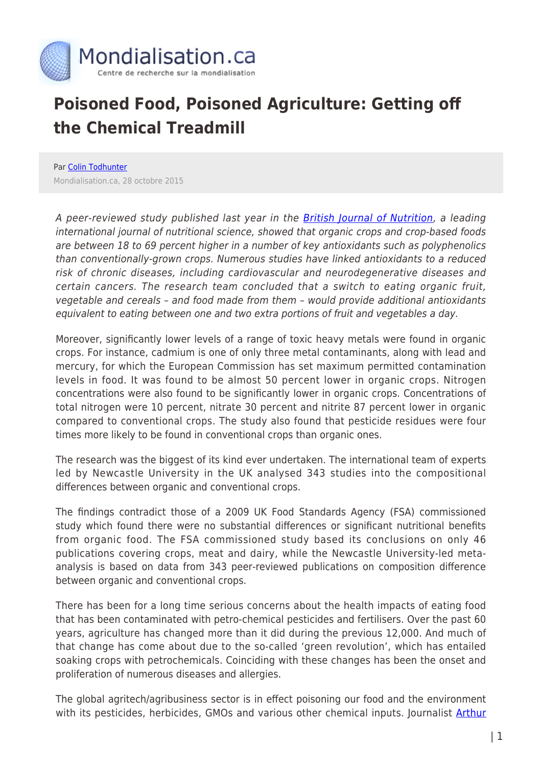

## **Poisoned Food, Poisoned Agriculture: Getting off the Chemical Treadmill**

Par [Colin Todhunter](https://www.mondialisation.ca/author/colin-todhunter) Mondialisation.ca, 28 octobre 2015

A peer-reviewed study published last year in the **British Journal of Nutrition**, a leading international journal of nutritional science, showed that organic crops and crop-based foods are between 18 to 69 percent higher in a number of key antioxidants such as polyphenolics than conventionally-grown crops. Numerous studies have linked antioxidants to a reduced risk of chronic diseases, including cardiovascular and neurodegenerative diseases and certain cancers. The research team concluded that a switch to eating organic fruit, vegetable and cereals – and food made from them – would provide additional antioxidants equivalent to eating between one and two extra portions of fruit and vegetables a day.

Moreover, significantly lower levels of a range of toxic heavy metals were found in organic crops. For instance, cadmium is one of only three metal contaminants, along with lead and mercury, for which the European Commission has set maximum permitted contamination levels in food. It was found to be almost 50 percent lower in organic crops. Nitrogen concentrations were also found to be significantly lower in organic crops. Concentrations of total nitrogen were 10 percent, nitrate 30 percent and nitrite 87 percent lower in organic compared to conventional crops. The study also found that pesticide residues were four times more likely to be found in conventional crops than organic ones.

The research was the biggest of its kind ever undertaken. The international team of experts led by Newcastle University in the UK analysed 343 studies into the compositional differences between organic and conventional crops.

The findings contradict those of a 2009 UK Food Standards Agency (FSA) commissioned study which found there were no substantial differences or significant nutritional benefits from organic food. The FSA commissioned study based its conclusions on only 46 publications covering crops, meat and dairy, while the Newcastle University-led metaanalysis is based on data from 343 peer-reviewed publications on composition difference between organic and conventional crops.

There has been for a long time serious concerns about the health impacts of eating food that has been contaminated with petro-chemical pesticides and fertilisers. Over the past 60 years, agriculture has changed more than it did during the previous 12,000. And much of that change has come about due to the so-called 'green revolution', which has entailed soaking crops with petrochemicals. Coinciding with these changes has been the onset and proliferation of numerous diseases and allergies.

The global agritech/agribusiness sector is in effect poisoning our food and the environment with its pesticides, herbicides, GMOs and various other chemical inputs. Journalist [Arthur](http://www.theguardian.com/environment/2015/feb/02/suppressed-eu-report-could-have-banned-pesticides-worth-billions)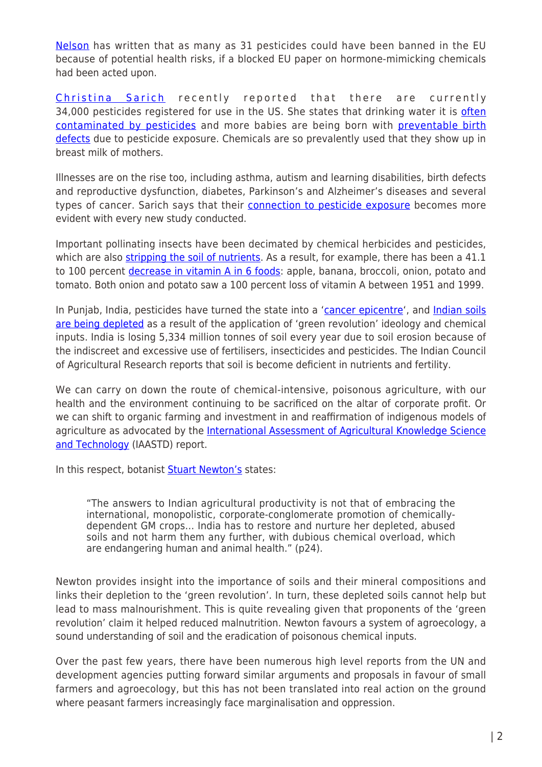[Nelson](http://www.theguardian.com/environment/2015/feb/02/suppressed-eu-report-could-have-banned-pesticides-worth-billions) has written that as many as 31 pesticides could have been banned in the EU because of potential health risks, if a blocked EU paper on hormone-mimicking chemicals had been acted upon.

[Christina Sarich](http://www.globalresearch.ca/34000-pesticides-and-600-chemicals-later-us-food-supply-is-suffering/5483100) recently reported that there are currently 34,000 pesticides registered for use in the US. She states that drinking water it is [often](http://water.usgs.gov/edu/pesticidesgw.html) [contaminated by pesticides](http://water.usgs.gov/edu/pesticidesgw.html) and more babies are being born with [preventable birth](http://www.beyondpesticides.org/resources/pesticide-induced-diseases-database/birth-defects) [defects](http://www.beyondpesticides.org/resources/pesticide-induced-diseases-database/birth-defects) due to pesticide exposure. Chemicals are so prevalently used that they show up in breast milk of mothers.

Illnesses are on the rise too, including asthma, autism and learning disabilities, birth defects and reproductive dysfunction, diabetes, Parkinson's and Alzheimer's diseases and several types of cancer. Sarich says that their [connection to pesticide exposure](http://www.beyondpesticides.org/health/pid-database.pdf) becomes more evident with every new study conducted.

Important pollinating insects have been decimated by chemical herbicides and pesticides, which are also [stripping the soil of nutrients](http://naturalsociety.com/gm-bacteria-suffocates-soil-long-after-gm-crops-are-grown-says-retired-epa-scientist/). As a result, for example, there has been a 41.1 to 100 percent [decrease in vitamin A in 6 foods](http://www.globalhealingcenter.com/effects-of-pesticides/nutrient-depleted-soil): apple, banana, broccoli, onion, potato and tomato. Both onion and potato saw a 100 percent loss of vitamin A between 1951 and 1999.

In Punjab, India, pesticides have turned the state into a ['cancer epicentre](http://www.deccanherald.com/content/309654/punjab-transformation-food-bowl-cancer.html)', and [Indian soils](http://www.thehindu.com/sci-tech/agriculture/india-losing-5334-million-tonnes-of-soil-annually-due-to-erosion-govt/article915245.ece) [are being depleted](http://www.thehindu.com/sci-tech/agriculture/india-losing-5334-million-tonnes-of-soil-annually-due-to-erosion-govt/article915245.ece) as a result of the application of 'green revolution' ideology and chemical inputs. India is losing 5,334 million tonnes of soil every year due to soil erosion because of the indiscreet and excessive use of fertilisers, insecticides and pesticides. The Indian Council of Agricultural Research reports that soil is become deficient in nutrients and fertility.

We can carry on down the route of chemical-intensive, poisonous agriculture, with our health and the environment continuing to be sacrificed on the altar of corporate profit. Or we can shift to organic farming and investment in and reaffirmation of indigenous models of agriculture as advocated by the [International Assessment of Agricultural Knowledge Science](http://www.panna.org/resources/agriculture-crossroads) [and Technology](http://www.panna.org/resources/agriculture-crossroads) (IAASTD) report.

In this respect, botanist **Stuart Newton's** states:

"The answers to Indian agricultural productivity is not that of embracing the international, monopolistic, corporate-conglomerate promotion of chemicallydependent GM crops… India has to restore and nurture her depleted, abused soils and not harm them any further, with dubious chemical overload, which are endangering human and animal health." (p24).

Newton provides insight into the importance of soils and their mineral compositions and links their depletion to the 'green revolution'. In turn, these depleted soils cannot help but lead to mass malnourishment. This is quite revealing given that proponents of the 'green revolution' claim it helped reduced malnutrition. Newton favours a system of agroecology, a sound understanding of soil and the eradication of poisonous chemical inputs.

Over the past few years, there have been numerous high level reports from the UN and development agencies putting forward similar arguments and proposals in favour of small farmers and agroecology, but this has not been translated into real action on the ground where peasant farmers increasingly face marginalisation and oppression.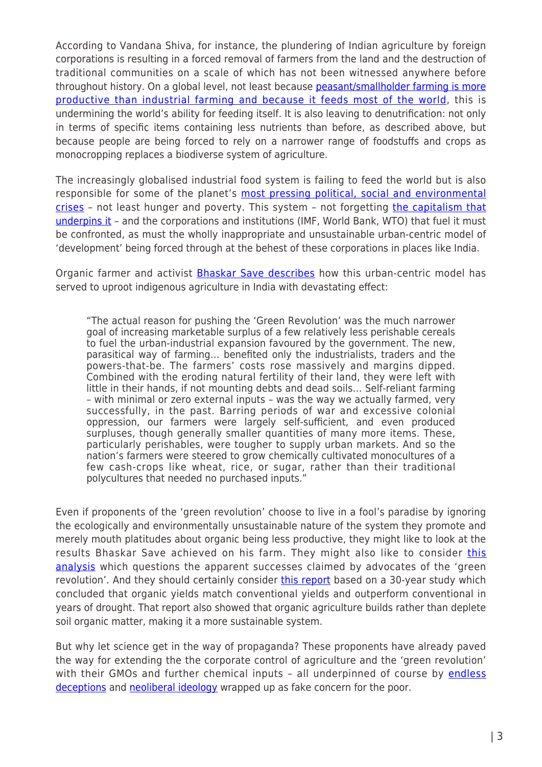According to Vandana Shiva, for instance, the plundering of Indian agriculture by foreign corporations is resulting in a forced removal of farmers from the land and the destruction of traditional communities on a scale of which has not been witnessed anywhere before throughout history. On a global level, not least because [peasant/smallholder farming is more](http://www.globalresearch.ca/how-global-agri-business-destroys-farming/5384510) [productive than industrial farming and because it feeds most of the world,](http://www.globalresearch.ca/how-global-agri-business-destroys-farming/5384510) this is undermining the world's ability for feeding itself. It is also leaving to denutrification: not only in terms of specific items containing less nutrients than before, as described above, but because people are being forced to rely on a narrower range of foodstuffs and crops as monocropping replaces a biodiverse system of agriculture.

The increasingly globalised industrial food system is failing to feed the world but is also responsible for some of the planet's [most pressing political, social and environmental](http://rinf.com/alt-news/editorials/want-help-africa-mr-paterson-stop-promoting-ideology-falsehoods-push-gmos/) [crises](http://rinf.com/alt-news/editorials/want-help-africa-mr-paterson-stop-promoting-ideology-falsehoods-push-gmos/) - not least hunger and poverty. This system - not forgetting [the capitalism that](http://www.globalresearch.ca/agribusiness-and-the-four-horsemen-of-the-apocalypse-the-globalized-system-of-war-poverty-and-food-insecurity/5446008) [underpins it](http://www.globalresearch.ca/agribusiness-and-the-four-horsemen-of-the-apocalypse-the-globalized-system-of-war-poverty-and-food-insecurity/5446008) - and the corporations and institutions (IMF, World Bank, WTO) that fuel it must be confronted, as must the wholly inappropriate and unsustainable urban-centric model of 'development' being forced through at the behest of these corporations in places like India.

Organic farmer and activist **Bhaskar Save describes** how this urban-centric model has served to uproot indigenous agriculture in India with devastating effect:

"The actual reason for pushing the 'Green Revolution' was the much narrower goal of increasing marketable surplus of a few relatively less perishable cereals to fuel the urban-industrial expansion favoured by the government. The new, parasitical way of farming… benefited only the industrialists, traders and the powers-that-be. The farmers' costs rose massively and margins dipped. Combined with the eroding natural fertility of their land, they were left with little in their hands, if not mounting debts and dead soils… Self-reliant farming – with minimal or zero external inputs – was the way we actually farmed, very successfully, in the past. Barring periods of war and excessive colonial oppression, our farmers were largely self-sufficient, and even produced surpluses, though generally smaller quantities of many more items. These, particularly perishables, were tougher to supply urban markets. And so the nation's farmers were steered to grow chemically cultivated monocultures of a few cash-crops like wheat, rice, or sugar, rather than their traditional polycultures that needed no purchased inputs."

Even if proponents of the 'green revolution' choose to live in a fool's paradise by ignoring the ecologically and environmentally unsustainable nature of the system they promote and merely mouth platitudes about organic being less productive, they might like to look at the results Bhaskar Save achieved on his farm. They might also like to consider [this](http://rajpatel.org/2014/08/29/every-factoid-is-a-mystery-how-to-think-more-clearly-about-the-green-revolution-and-other-agricultural-claims/) [analysis](http://rajpatel.org/2014/08/29/every-factoid-is-a-mystery-how-to-think-more-clearly-about-the-green-revolution-and-other-agricultural-claims/) which questions the apparent successes claimed by advocates of the 'green revolution'. And they should certainly consider [this report](http://www.permaculture.co.uk/news/1006156357/30-year-old-trial-finds-organic-farming-outperforms-conventional-agriculture) based on a 30-year study which concluded that organic yields match conventional yields and outperform conventional in years of drought. That report also showed that organic agriculture builds rather than deplete soil organic matter, making it a more sustainable system.

But why let science get in the way of propaganda? These proponents have already paved the way for extending the the corporate control of agriculture and the 'green revolution' with their GMOs and further chemical inputs - all underpinned of course by [endless](https://www.grain.org/article/entries/4720-gmos-fooling-er-feeding-the-world-for-20-years) [deceptions](https://www.grain.org/article/entries/4720-gmos-fooling-er-feeding-the-world-for-20-years) and [neoliberal ideology](http://www.counterpunch.org/2015/06/19/neil-young-is-starving-the-poor/) wrapped up as fake concern for the poor.